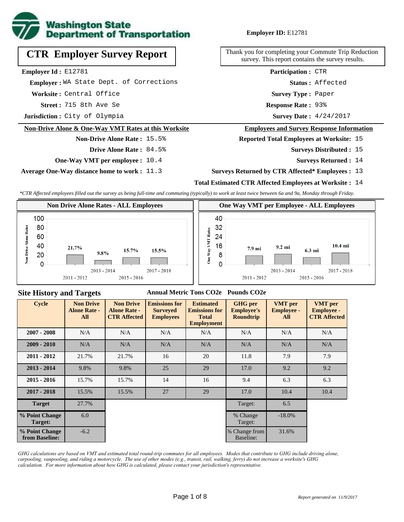

# **CTR Employer Survey Report**

**Employer Id :** E12781

 **Employer :** WA State Dept. of Corrections

**Worksite :** Central Office

715 8th Ave Se **Response Rate : Street :**

**Jurisdiction :** City of Olympia

#### **Non-Drive Alone & One-Way VMT Rates at this Worksite**

**Non-Drive Alone Rate :** 15.5%

- **Drive Alone Rate :** 84.5%
- **One-Way VMT per employee :** 10.4

**Average One-Way distance home to work :** 11.3

#### **Employer ID:** E12781

Thank you for completing your Commute Trip Reduction survey. This report contains the survey results.

> **Status :** Affected **Participation :** CTR

**Survey Type :** Paper

Response Rate: 93%

Survey Date:  $4/24/2017$ 

#### **Employees and Survey Response Information**

**Reported Total Employees at Worksite:** 15

- Surveys Distributed : 15
	- **Surveys Returned :** 14

#### **Surveys Returned by CTR Affected\* Employees :** 13

#### **Total Estimated CTR Affected Employees at Worksite :** 14

*\*CTR Affected employees filled out the survey as being full-time and commuting (typically) to work at least twice between 6a and 9a, Monday through Friday.*



#### **Site History and Targets**

#### **Annual Metric Tons CO2e Pounds CO2e**

| <b>Cycle</b>                     | <b>Non Drive</b><br><b>Alone Rate -</b><br>All | <b>Non Drive</b><br><b>Alone Rate -</b><br><b>CTR Affected</b> | <b>Emissions for</b><br><b>Surveyed</b><br><b>Employees</b> | <b>Estimated</b><br><b>Emissions for</b><br><b>Total</b><br><b>Employment</b> | <b>GHG</b> per<br><b>Employee's</b><br><b>Roundtrip</b> | <b>VMT</b> per<br><b>Employee -</b><br>All | <b>VMT</b> per<br><b>Employee -</b><br><b>CTR Affected</b> |
|----------------------------------|------------------------------------------------|----------------------------------------------------------------|-------------------------------------------------------------|-------------------------------------------------------------------------------|---------------------------------------------------------|--------------------------------------------|------------------------------------------------------------|
| $2007 - 2008$                    | N/A                                            | N/A                                                            | N/A                                                         | N/A                                                                           | N/A                                                     | N/A                                        | N/A                                                        |
| $2009 - 2010$                    | N/A                                            | N/A                                                            | N/A                                                         | N/A                                                                           | N/A                                                     | N/A                                        | N/A                                                        |
| $2011 - 2012$                    | 21.7%                                          | 21.7%                                                          | 16                                                          | 20                                                                            | 11.8                                                    | 7.9                                        | 7.9                                                        |
| $2013 - 2014$                    | 9.8%                                           | 9.8%                                                           | 25                                                          | 29                                                                            | 17.0                                                    | 9.2                                        | 9.2                                                        |
| $2015 - 2016$                    | 15.7%                                          | 15.7%                                                          | 14                                                          | 16                                                                            | 9.4                                                     | 6.3                                        | 6.3                                                        |
| $2017 - 2018$                    | 15.5%                                          | 15.5%                                                          | 27                                                          | 29                                                                            | 17.0                                                    | 10.4                                       | 10.4                                                       |
| <b>Target</b>                    | 27.7%                                          |                                                                |                                                             |                                                                               | Target:                                                 | 6.5                                        |                                                            |
| % Point Change<br>Target:        | 6.0                                            |                                                                |                                                             |                                                                               | % Change<br>Target:                                     | $-18.0\%$                                  |                                                            |
| % Point Change<br>from Baseline: | $-6.2$                                         |                                                                |                                                             |                                                                               | % Change from<br>Baseline:                              | 31.6%                                      |                                                            |

*GHG calculations are based on VMT and estimated total round-trip commutes for all employees. Modes that contribute to GHG include driving alone, carpooling, vanpooling, and riding a motorcycle. The use of other modes (e.g., transit, rail, walking, ferry) do not increase a worksite's GHG calculation. For more information about how GHG is calculated, please contact your jurisdiction's representative.*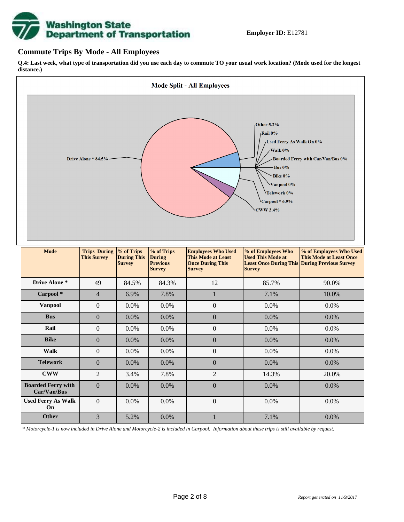# **Washington State<br>Department of Transportation**

#### **Commute Trips By Mode - All Employees**

**Q.4: Last week, what type of transportation did you use each day to commute TO your usual work location? (Mode used for the longest distance.)**



*\* Motorcycle-1 is now included in Drive Alone and Motorcycle-2 is included in Carpool. Information about these trips is still available by request.*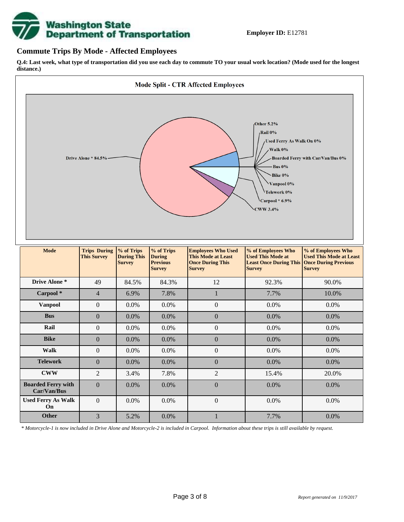

#### **Commute Trips By Mode - Affected Employees**

**Q.4: Last week, what type of transportation did you use each day to commute TO your usual work location? (Mode used for the longest distance.)**



*\* Motorcycle-1 is now included in Drive Alone and Motorcycle-2 is included in Carpool. Information about these trips is still available by request.*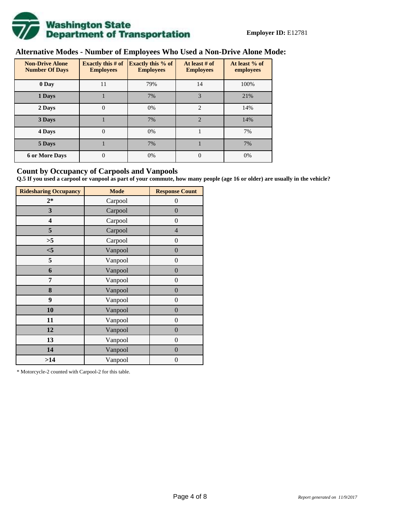

# **Alternative Modes - Number of Employees Who Used a Non-Drive Alone Mode:**

| <b>Non-Drive Alone</b><br><b>Number Of Days</b> | Exactly this $# of$<br><b>Employees</b> | <b>Exactly this % of</b><br><b>Employees</b> | At least # of<br><b>Employees</b> | At least % of<br>employees |  |  |
|-------------------------------------------------|-----------------------------------------|----------------------------------------------|-----------------------------------|----------------------------|--|--|
| 0 Day                                           | 11                                      | 79%                                          | 14                                | 100%                       |  |  |
| 1 Days                                          |                                         | 7%                                           | 3                                 | 21%                        |  |  |
| 2 Days                                          | $\overline{0}$                          | 0%                                           | $\mathcal{D}_{\mathcal{L}}$       | 14%                        |  |  |
| 3 Days                                          |                                         | 7%                                           | $\mathfrak{D}$                    | 14%                        |  |  |
| 4 Days                                          | $\overline{0}$                          | 0%                                           |                                   | 7%                         |  |  |
| 5 Days                                          |                                         | 7%                                           |                                   | 7%                         |  |  |
| <b>6 or More Days</b>                           | 0                                       | 0%                                           | $\theta$                          | 0%                         |  |  |

#### **Count by Occupancy of Carpools and Vanpools**

**Q.5 If you used a carpool or vanpool as part of your commute, how many people (age 16 or older) are usually in the vehicle?**

| <b>Ridesharing Occupancy</b> | <b>Mode</b> | <b>Response Count</b> |
|------------------------------|-------------|-----------------------|
| $2*$                         | Carpool     | $\theta$              |
| 3                            | Carpool     | $\overline{0}$        |
| 4                            | Carpool     | $\boldsymbol{0}$      |
| 5                            | Carpool     | $\overline{4}$        |
| >5                           | Carpool     | $\boldsymbol{0}$      |
| $<$ 5                        | Vanpool     | $\overline{0}$        |
| 5                            | Vanpool     | $\overline{0}$        |
| 6                            | Vanpool     | $\boldsymbol{0}$      |
| 7                            | Vanpool     | $\boldsymbol{0}$      |
| 8                            | Vanpool     | $\overline{0}$        |
| 9                            | Vanpool     | $\overline{0}$        |
| 10                           | Vanpool     | $\overline{0}$        |
| 11                           | Vanpool     | $\boldsymbol{0}$      |
| 12                           | Vanpool     | $\boldsymbol{0}$      |
| 13                           | Vanpool     | $\boldsymbol{0}$      |
| 14                           | Vanpool     | $\overline{0}$        |
| >14                          | Vanpool     | $\boldsymbol{0}$      |

\* Motorcycle-2 counted with Carpool-2 for this table.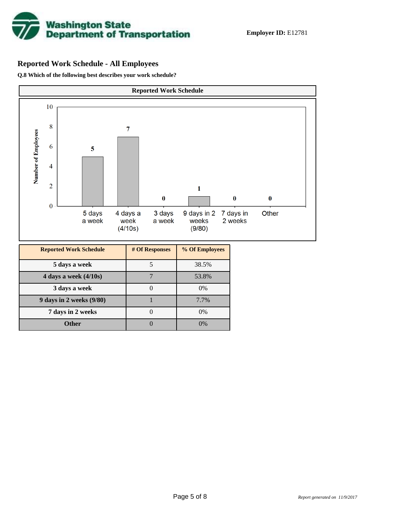

# **Reported Work Schedule - All Employees**

**Q.8 Which of the following best describes your work schedule?**

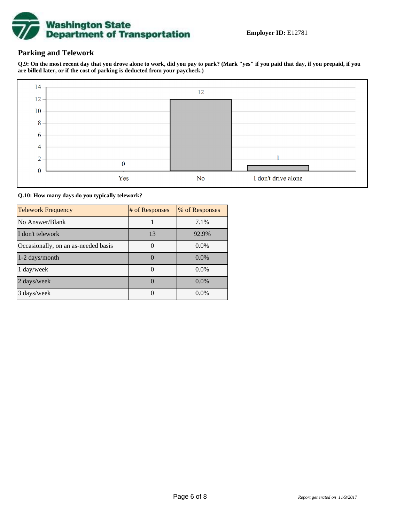

### **Parking and Telework**

**Q.9: On the most recent day that you drove alone to work, did you pay to park? (Mark "yes" if you paid that day, if you prepaid, if you are billed later, or if the cost of parking is deducted from your paycheck.)**



**Q.10: How many days do you typically telework?**

| <b>Telework Frequency</b>           | # of Responses | % of Responses |
|-------------------------------------|----------------|----------------|
| No Answer/Blank                     |                | 7.1%           |
| I don't telework                    | 13             | 92.9%          |
| Occasionally, on an as-needed basis |                | $0.0\%$        |
| 1-2 days/month                      |                | $0.0\%$        |
| 1 day/week                          |                | $0.0\%$        |
| 2 days/week                         |                | $0.0\%$        |
| 3 days/week                         |                | $0.0\%$        |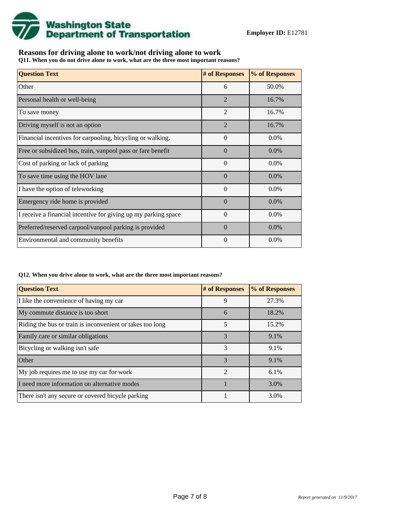

## **Reasons for driving alone to work/not driving alone to work**

**Q11. When you do not drive alone to work, what are the three most important reasons?**

| <b>Question Text</b>                                           | # of Responses | % of Responses |
|----------------------------------------------------------------|----------------|----------------|
| Other                                                          | 6              | 50.0%          |
| Personal health or well-being                                  | $\overline{2}$ | 16.7%          |
| To save money                                                  | $\mathfrak{D}$ | 16.7%          |
| Driving myself is not an option                                | $\overline{2}$ | 16.7%          |
| Financial incentives for carpooling, bicycling or walking.     | $\Omega$       | $0.0\%$        |
| Free or subsidized bus, train, vanpool pass or fare benefit    | $\Omega$       | 0.0%           |
| Cost of parking or lack of parking                             | $\Omega$       | 0.0%           |
| To save time using the HOV lane                                | $\Omega$       | $0.0\%$        |
| I have the option of teleworking                               | $\Omega$       | 0.0%           |
| Emergency ride home is provided                                | $\Omega$       | 0.0%           |
| I receive a financial incentive for giving up my parking space | $\theta$       | $0.0\%$        |
| Preferred/reserved carpool/vanpool parking is provided         | $\Omega$       | 0.0%           |
| Environmental and community benefits                           | $\theta$       | $0.0\%$        |

#### **Q12. When you drive alone to work, what are the three most important reasons?**

| <b>Question Text</b>                                      | # of Responses | % of Responses |
|-----------------------------------------------------------|----------------|----------------|
| I like the convenience of having my car                   | 9              | 27.3%          |
| My commute distance is too short                          | 6              | 18.2%          |
| Riding the bus or train is inconvenient or takes too long | 5              | 15.2%          |
| Family care or similar obligations                        | 3              | 9.1%           |
| Bicycling or walking isn't safe                           | 3              | 9.1%           |
| <b>Other</b>                                              | 3              | 9.1%           |
| My job requires me to use my car for work                 | $\mathfrak{D}$ | 6.1%           |
| I need more information on alternative modes              |                | 3.0%           |
| There isn't any secure or covered bicycle parking         |                | 3.0%           |